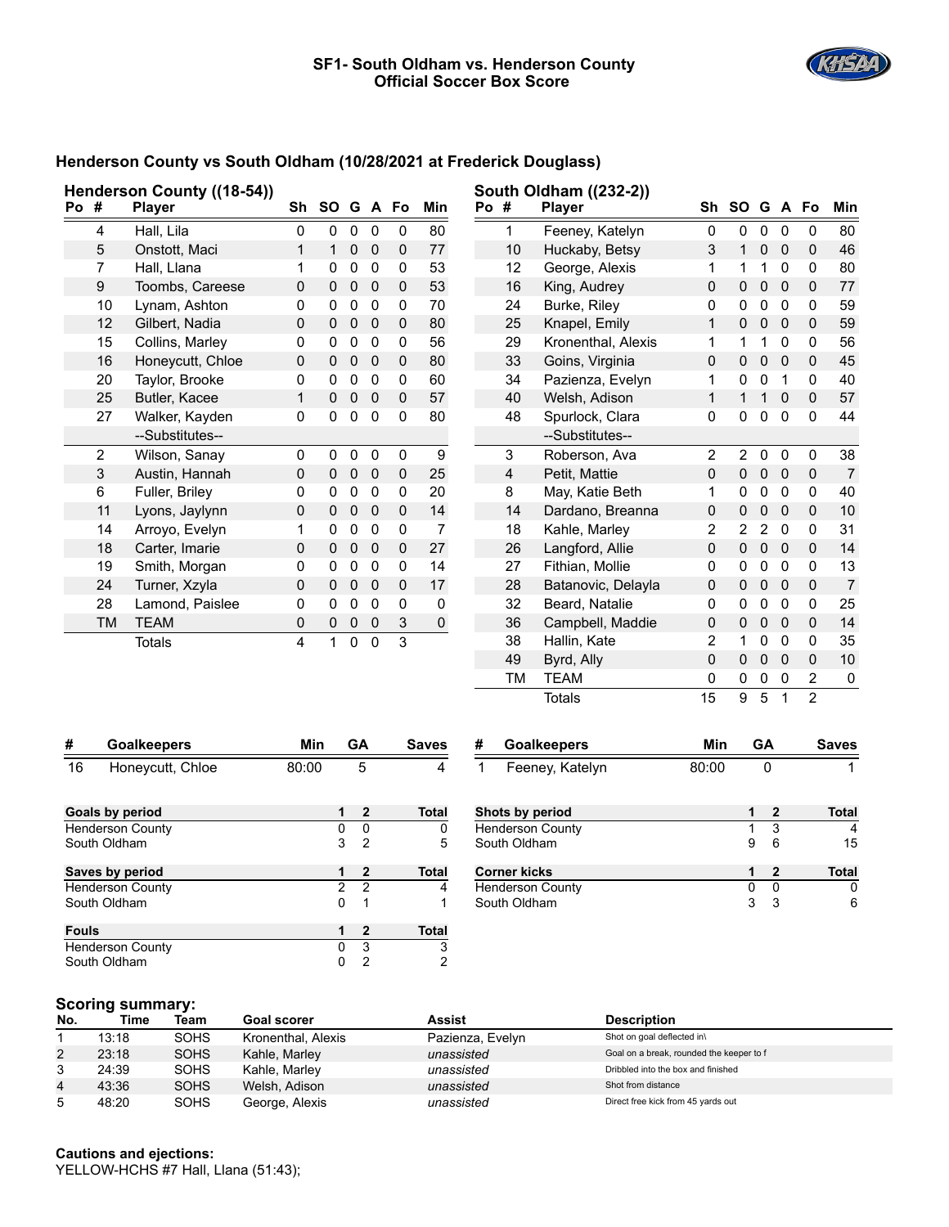

### **Henderson County vs South Oldham (10/28/2021 at Frederick Douglass)**

| Henderson County ((18-54))                 |                    |                  |              | South Oldham ((232-2)) |                |                  |             |                |                 |                     |                         |                           |                         |                |                |                |                |
|--------------------------------------------|--------------------|------------------|--------------|------------------------|----------------|------------------|-------------|----------------|-----------------|---------------------|-------------------------|---------------------------|-------------------------|----------------|----------------|----------------|----------------|
| Po #<br><b>Player</b>                      |                    | Sh               | SO G A Fo    |                        |                |                  | Min         | Po #           |                 | <b>Player</b>       | Sh                      | <b>SO</b>                 |                         |                | G A Fo         | Min            |                |
|                                            | 4                  | Hall, Lila       | 0            | 0                      | $\mathsf 0$    | 0                | 0           | 80             |                 | $\mathbf{1}$        | Feeney, Katelyn         | 0                         | 0                       | 0              | 0              | 0              | 80             |
|                                            | 5                  | Onstott, Maci    | $\mathbf{1}$ | $\mathbf{1}$           | $\pmb{0}$      | $\pmb{0}$        | 0           | $77\,$         |                 | 10                  | Huckaby, Betsy          | $\ensuremath{\mathsf{3}}$ | $\mathbf{1}$            | $\pmb{0}$      | 0              | 0              | 46             |
|                                            | 7                  | Hall, Llana      | $\mathbf{1}$ | 0                      | $\pmb{0}$      | $\pmb{0}$        | 0           | 53             |                 | 12                  | George, Alexis          | $\mathbf 1$               | 1                       | $\mathbf 1$    | 0              | 0              | 80             |
|                                            | 9                  | Toombs, Careese  | 0            | 0                      | $\pmb{0}$      | $\mathbf 0$      | 0           | 53             |                 | 16                  | King, Audrey            | $\pmb{0}$                 | 0                       | $\pmb{0}$      | $\mathbf 0$    | 0              | 77             |
|                                            | 10                 | Lynam, Ashton    | 0            | 0                      | $\pmb{0}$      | $\mathbf 0$      | 0           | 70             |                 | 24                  | Burke, Riley            | 0                         | 0                       | $\pmb{0}$      | 0              | 0              | 59             |
|                                            | 12                 | Gilbert, Nadia   | $\mathsf 0$  | $\mathsf 0$            | $\pmb{0}$      | $\mathbf 0$      | $\mathsf 0$ | 80             |                 | 25                  | Knapel, Emily           | $\mathbf 1$               | 0                       | $\pmb{0}$      | $\mathbf 0$    | 0              | 59             |
|                                            | 15                 | Collins, Marley  | $\mathbf 0$  | 0                      | $\pmb{0}$      | $\pmb{0}$        | 0           | 56             |                 | 29                  | Kronenthal, Alexis      | 1                         | 1                       | $\mathbf 1$    | $\mathbf 0$    | 0              | 56             |
|                                            | 16                 | Honeycutt, Chloe | 0            | 0                      | $\pmb{0}$      | $\mathbf 0$      | 0           | 80             |                 | 33                  | Goins, Virginia         | 0                         | 0                       | $\pmb{0}$      | $\mathbf 0$    | 0              | 45             |
|                                            | 20                 | Taylor, Brooke   | 0            | 0                      | 0              | 0                | 0           | 60             |                 | 34                  | Pazienza, Evelyn        | $\mathbf 1$               | 0                       | $\pmb{0}$      | $\mathbf{1}$   | 0              | 40             |
|                                            | 25                 | Butler, Kacee    | $\mathbf{1}$ | $\mathbf 0$            | 0              | $\mathbf 0$      | $\mathsf 0$ | 57             |                 | 40                  | Welsh, Adison           | $\mathbf{1}$              | $\mathbf{1}$            | $\mathbf{1}$   | $\mathbf 0$    | 0              | 57             |
|                                            | 27                 | Walker, Kayden   | 0            | 0                      | 0              | $\mathbf 0$      | $\pmb{0}$   | 80             |                 | 48                  | Spurlock, Clara         | 0                         | 0                       | 0              | $\mathbf 0$    | 0              | 44             |
|                                            |                    | --Substitutes--  |              |                        |                |                  |             |                |                 |                     | --Substitutes--         |                           |                         |                |                |                |                |
|                                            | $\overline{2}$     | Wilson, Sanay    | 0            | 0                      | 0              | 0                | 0           | 9              |                 | 3                   | Roberson, Ava           | $\overline{2}$            | $\overline{\mathbf{c}}$ | $\pmb{0}$      | 0              | 0              | 38             |
|                                            | 3                  | Austin, Hannah   | 0            | 0                      | $\pmb{0}$      | $\mathbf 0$      | 0           | 25             |                 | 4                   | Petit, Mattie           | 0                         | 0                       | $\pmb{0}$      | $\mathbf 0$    | 0              | $\overline{7}$ |
|                                            | 6                  | Fuller, Briley   | 0            | 0                      | 0              | $\mathbf 0$      | 0           | 20             |                 | 8                   | May, Katie Beth         | $\mathbf{1}$              | 0                       | $\pmb{0}$      | $\Omega$       | 0              | 40             |
|                                            | 11                 | Lyons, Jaylynn   | $\mathsf 0$  | $\mathbf 0$            | 0              | $\mathbf 0$      | 0           | 14             |                 | 14                  | Dardano, Breanna        | 0                         | 0                       | $\pmb{0}$      | $\mathbf 0$    | 0              | 10             |
|                                            | 14                 | Arroyo, Evelyn   | 1            | 0                      | 0              | $\mathbf 0$      | 0           | $\overline{7}$ |                 | 18                  | Kahle, Marley           | $\overline{2}$            | $\overline{2}$          | $\overline{2}$ | $\Omega$       | 0              | 31             |
|                                            | 18                 | Carter, Imarie   | 0            | 0                      | $\pmb{0}$      | $\mathbf 0$      | 0           | 27             |                 | 26                  | Langford, Allie         | 0                         | 0                       | $\pmb{0}$      | $\mathbf 0$    | 0              | 14             |
|                                            | 19                 | Smith, Morgan    | 0            | 0                      | 0              | $\mathbf 0$      | 0           | 14             |                 | 27                  | Fithian, Mollie         | 0                         | 0                       | $\pmb{0}$      | $\mathbf{0}$   | 0              | 13             |
|                                            | 24                 | Turner, Xzyla    | 0            | $\mathbf 0$            | $\mathsf 0$    | $\mathbf 0$      | 0           | 17             |                 | 28                  | Batanovic, Delayla      | 0                         | 0                       | $\pmb{0}$      | $\mathbf 0$    | 0              | $\overline{7}$ |
|                                            | 28                 | Lamond, Paislee  | 0            | 0                      | 0              | $\mathbf 0$      | 0           | $\mathbf 0$    |                 | 32                  | Beard, Natalie          | 0                         | 0                       | $\pmb{0}$      | $\Omega$       | 0              | 25             |
|                                            | <b>TM</b>          | <b>TEAM</b>      | 0            | $\pmb{0}$              | $\mathbf 0$    | $\mathbf 0$      | 3           | $\pmb{0}$      |                 | 36                  | Campbell, Maddie        | 0                         | 0                       | $\pmb{0}$      | $\mathbf 0$    | 0              | 14             |
|                                            |                    | <b>Totals</b>    | 4            | 1                      | 0              | 0                | 3           |                |                 | 38                  | Hallin, Kate            | $\boldsymbol{2}$          | 1                       | $\pmb{0}$      | $\Omega$       | 0              | 35             |
|                                            |                    |                  |              |                        |                |                  |             |                |                 | 49                  | Byrd, Ally              | $\mathbf 0$               | 0                       | $\pmb{0}$      | $\mathbf 0$    | 0              | $10$           |
|                                            |                    |                  |              |                        |                |                  |             |                |                 | <b>TM</b>           | <b>TEAM</b>             | 0                         | 0                       | $\mathbf 0$    | 0              | 2              | $\pmb{0}$      |
|                                            |                    |                  |              |                        |                |                  |             |                |                 |                     | <b>Totals</b>           | 15                        | 9                       | 5              | 1              | $\overline{2}$ |                |
|                                            |                    |                  |              |                        |                |                  |             |                |                 |                     |                         |                           |                         |                |                |                |                |
| #                                          | <b>Goalkeepers</b> |                  |              | Min                    | GA             |                  |             | <b>Saves</b>   | #               |                     | <b>Goalkeepers</b>      | Min                       |                         | GА             |                |                | <b>Saves</b>   |
| 16                                         | Honeycutt, Chloe   |                  | 80:00        |                        | 5              |                  |             | 4              | $\mathbf{1}$    |                     | Feeney, Katelyn         | 80:00                     |                         | 0              |                |                | $\mathbf{1}$   |
|                                            |                    |                  |              |                        |                |                  |             |                |                 |                     |                         |                           |                         |                |                |                |                |
|                                            |                    |                  | 1            | $\overline{2}$         |                | <b>Total</b>     |             |                | Shots by period |                     | 1                       |                           | $\overline{2}$          |                | <b>Total</b>   |                |                |
| Goals by period<br><b>Henderson County</b> |                    |                  |              |                        | $\overline{0}$ | $\overline{0}$   |             | 0              |                 |                     | <b>Henderson County</b> |                           | $\overline{1}$          |                | $\overline{3}$ |                | $\overline{4}$ |
| South Oldham                               |                    |                  |              |                        | 3              | $\overline{c}$   |             | 5              |                 | South Oldham        |                         |                           | 9                       |                | 6              |                | 15             |
| Saves by period                            |                    |                  |              |                        | 1              | $\mathbf{2}$     |             | <b>Total</b>   |                 | <b>Corner kicks</b> |                         |                           | 1                       |                | $\overline{2}$ |                | <b>Total</b>   |
| <b>Henderson County</b>                    |                    |                  |              |                        | $\overline{2}$ | $\overline{2}$   |             | 4              |                 |                     | <b>Henderson County</b> |                           | 0                       |                | 0              |                | 0              |
| South Oldham                               |                    |                  |              |                        | 0              | $\mathbf 1$      |             | 1              |                 | South Oldham        |                         |                           |                         | 3              | 3              |                | 6              |
| <b>Fouls</b>                               |                    |                  |              |                        | 1              | $\boldsymbol{2}$ |             | <b>Total</b>   |                 |                     |                         |                           |                         |                |                |                |                |
| <b>Henderson County</b>                    |                    |                  |              |                        | $\mathbf 0$    | 3                |             | 3              |                 |                     |                         |                           |                         |                |                |                |                |
| South Oldham                               |                    |                  |              |                        | $\Omega$       | $\overline{c}$   |             | 2              |                 |                     |                         |                           |                         |                |                |                |                |

### **Scoring summary:**

| No. | Time  | Team        | <b>Goal scorer</b> | Assist           | <b>Description</b>                       |  |
|-----|-------|-------------|--------------------|------------------|------------------------------------------|--|
|     | 13:18 | <b>SOHS</b> | Kronenthal, Alexis | Pazienza, Evelyn | Shot on goal deflected in\               |  |
| 2   | 23:18 | <b>SOHS</b> | Kahle, Marley      | unassisted       | Goal on a break, rounded the keeper to f |  |
| 3   | 24:39 | <b>SOHS</b> | Kahle, Marley      | unassisted       | Dribbled into the box and finished       |  |
| 4   | 43:36 | <b>SOHS</b> | Welsh, Adison      | unassisted       | Shot from distance                       |  |
| 5   | 48:20 | SOHS        | George, Alexis     | unassisted       | Direct free kick from 45 yards out       |  |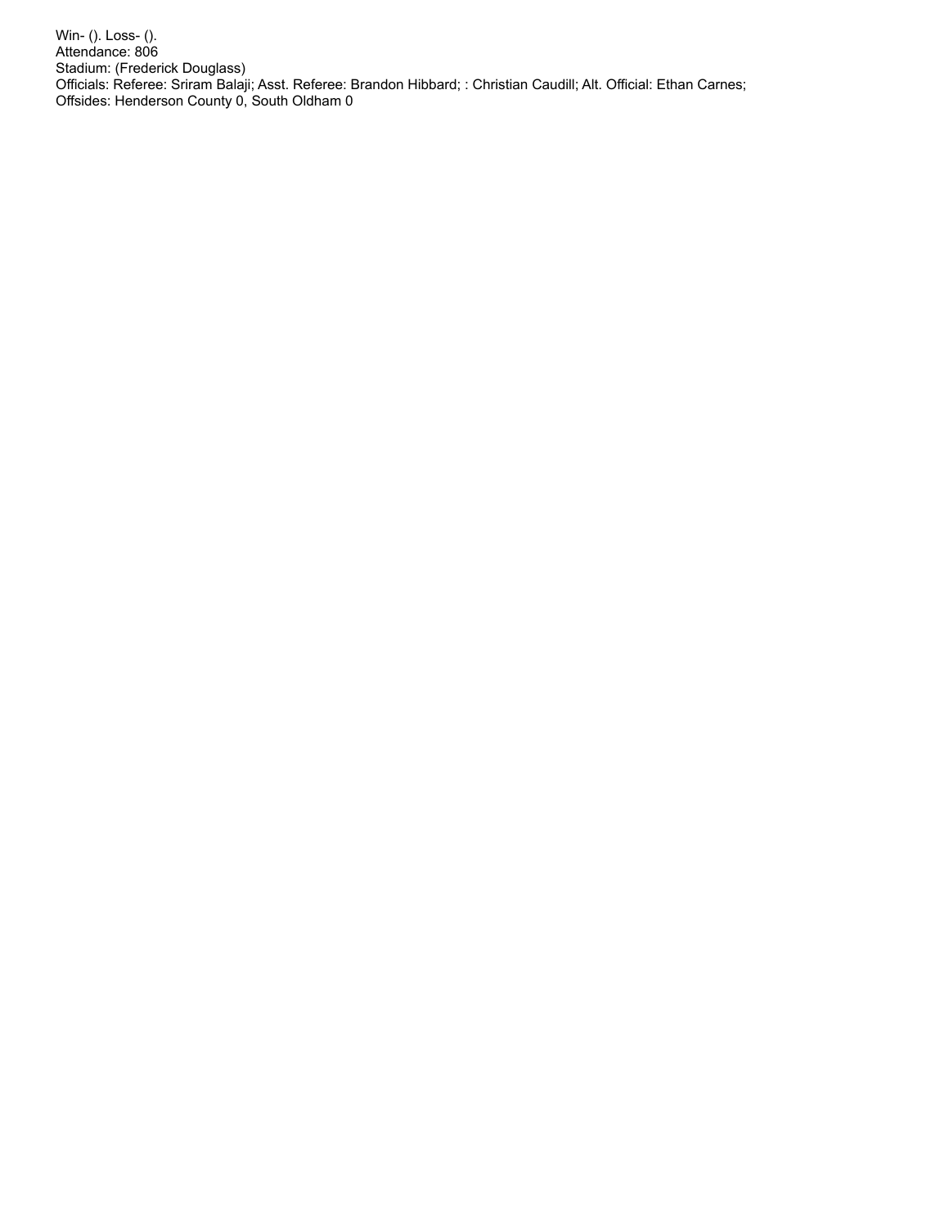Win- (). Loss- (). Attendance: 806 Stadium: (Frederick Douglass) Officials: Referee: Sriram Balaji; Asst. Referee: Brandon Hibbard; : Christian Caudill; Alt. Official: Ethan Carnes; Offsides: Henderson County 0, South Oldham 0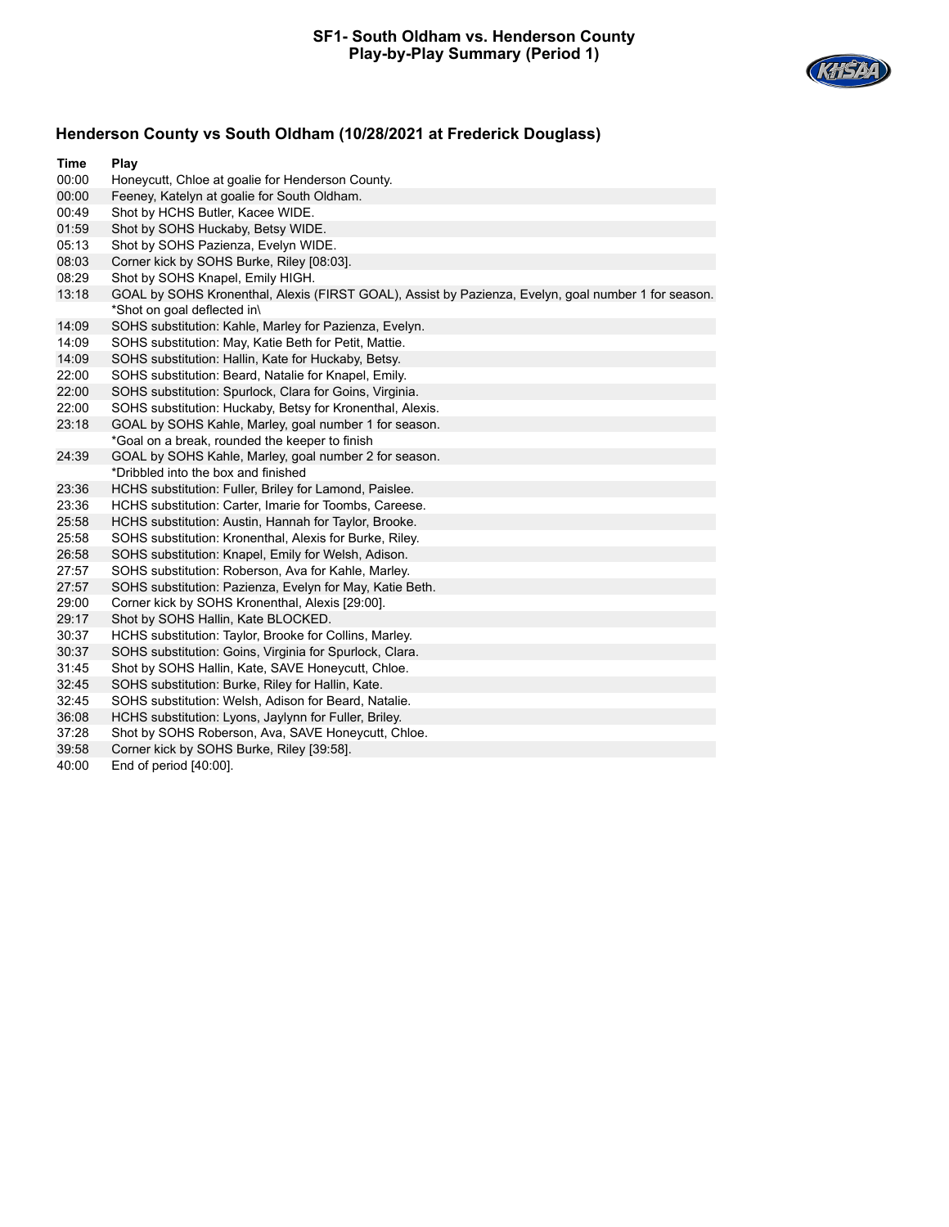### **SF1- South Oldham vs. Henderson County Play-by-Play Summary (Period 1)**



# **Henderson County vs South Oldham (10/28/2021 at Frederick Douglass)**

| Time  | Play                                                                                                |
|-------|-----------------------------------------------------------------------------------------------------|
| 00:00 | Honeycutt, Chloe at goalie for Henderson County.                                                    |
| 00:00 | Feeney, Katelyn at goalie for South Oldham.                                                         |
| 00:49 | Shot by HCHS Butler, Kacee WIDE.                                                                    |
| 01:59 | Shot by SOHS Huckaby, Betsy WIDE.                                                                   |
| 05:13 | Shot by SOHS Pazienza, Evelyn WIDE.                                                                 |
| 08:03 | Corner kick by SOHS Burke, Riley [08:03].                                                           |
| 08:29 | Shot by SOHS Knapel, Emily HIGH.                                                                    |
| 13:18 | GOAL by SOHS Kronenthal, Alexis (FIRST GOAL), Assist by Pazienza, Evelyn, goal number 1 for season. |
|       | *Shot on goal deflected in\                                                                         |
| 14:09 | SOHS substitution: Kahle, Marley for Pazienza, Evelyn.                                              |
| 14:09 | SOHS substitution: May, Katie Beth for Petit, Mattie.                                               |
| 14:09 | SOHS substitution: Hallin, Kate for Huckaby, Betsy.                                                 |
| 22:00 | SOHS substitution: Beard, Natalie for Knapel, Emily.                                                |
| 22:00 | SOHS substitution: Spurlock, Clara for Goins, Virginia.                                             |
| 22:00 | SOHS substitution: Huckaby, Betsy for Kronenthal, Alexis.                                           |
| 23:18 | GOAL by SOHS Kahle, Marley, goal number 1 for season.                                               |
|       | *Goal on a break, rounded the keeper to finish                                                      |
| 24:39 | GOAL by SOHS Kahle, Marley, goal number 2 for season.                                               |
|       | *Dribbled into the box and finished                                                                 |
| 23:36 | HCHS substitution: Fuller, Briley for Lamond, Paislee.                                              |
| 23:36 | HCHS substitution: Carter, Imarie for Toombs, Careese.                                              |
| 25:58 | HCHS substitution: Austin, Hannah for Taylor, Brooke.                                               |
| 25:58 | SOHS substitution: Kronenthal, Alexis for Burke, Riley.                                             |
| 26:58 | SOHS substitution: Knapel, Emily for Welsh, Adison.                                                 |
| 27:57 | SOHS substitution: Roberson, Ava for Kahle, Marley.                                                 |
| 27:57 | SOHS substitution: Pazienza, Evelyn for May, Katie Beth.                                            |
| 29:00 | Corner kick by SOHS Kronenthal, Alexis [29:00].                                                     |
| 29:17 | Shot by SOHS Hallin, Kate BLOCKED.                                                                  |
| 30:37 | HCHS substitution: Taylor, Brooke for Collins, Marley.                                              |
| 30:37 | SOHS substitution: Goins, Virginia for Spurlock, Clara.                                             |
| 31:45 | Shot by SOHS Hallin, Kate, SAVE Honeycutt, Chloe.                                                   |
| 32:45 | SOHS substitution: Burke, Riley for Hallin, Kate.                                                   |
| 32:45 | SOHS substitution: Welsh, Adison for Beard, Natalie.                                                |
| 36:08 | HCHS substitution: Lyons, Jaylynn for Fuller, Briley.                                               |
| 37:28 | Shot by SOHS Roberson, Ava, SAVE Honeycutt, Chloe.                                                  |
| 39:58 | Corner kick by SOHS Burke, Riley [39:58].                                                           |
| 40:00 | End of period [40:00].                                                                              |